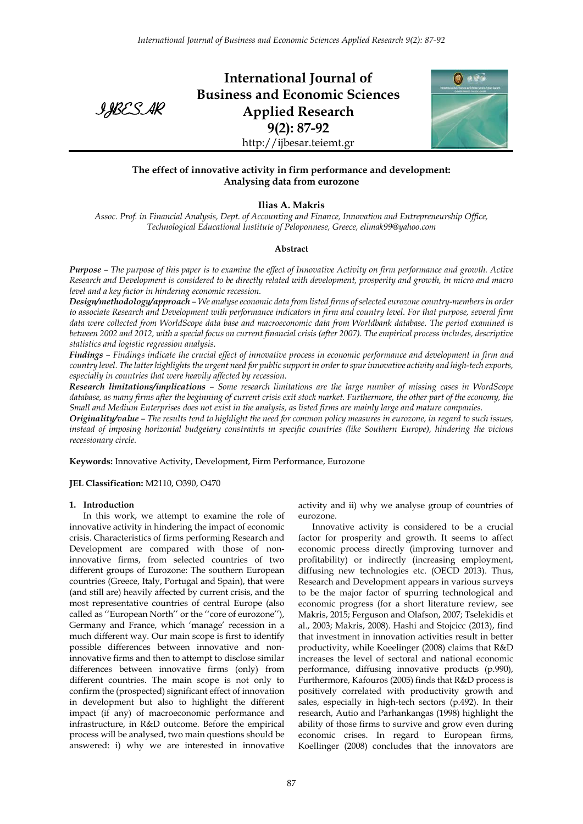

**International Journal of Business and Economic Sciences Applied Research 9(2): 87-92** http://ijbesar.teiemt.gr



# **The effect of innovative activity in firm performance and development: Analysing data from eurozone**

# **Ilias A. Makris**

*Assoc. Prof. in Financial Analysis, Dept. of Accounting and Finance, Innovation and Entrepreneurship Office, Technological Educational Institute of Peloponnese, Greece, elimak99@yahoo.com*

## **Abstract**

*Purpose – The purpose of this paper is to examine the effect of Innovative Activity on firm performance and growth. Active Research and Development is considered to be directly related with development, prosperity and growth, in micro and macro level and a key factor in hindering economic recession.* 

*Design/methodology/approach – We analyse economic data from listed firms of selected eurozone country-members in order to associate Research and Development with performance indicators in firm and country level. For that purpose, several firm data were collected from WorldScope data base and macroeconomic data from Worldbank database. The period examined is between 2002 and 2012, with a special focus on current financial crisis (after 2007). The empirical process includes, descriptive statistics and logistic regression analysis.* 

*Findings – Findings indicate the crucial effect of innovative process in economic performance and development in firm and country level. The latter highlights the urgent need for public support in order to spur innovative activity and high-tech exports, especially in countries that were heavily affected by recession.* 

*Research limitations/implications – Some research limitations are the large number of missing cases in WordScope database, as many firms after the beginning of current crisis exit stock market. Furthermore, the other part of the economy, the Small and Medium Enterprises does not exist in the analysis, as listed firms are mainly large and mature companies.* 

*Originality/value – The results tend to highlight the need for common policy measures in eurozone, in regard to such issues, instead of imposing horizontal budgetary constraints in specific countries (like Southern Europe), hindering the vicious recessionary circle.* 

**Keywords:** Innovative Activity, Development, Firm Performance, Eurozone

**JEL Classification:** M2110, O390, O470

## **1. Introduction**

In this work, we attempt to examine the role of innovative activity in hindering the impact of economic crisis. Characteristics of firms performing Research and Development are compared with those of noninnovative firms, from selected countries of two different groups of Eurozone: The southern European countries (Greece, Italy, Portugal and Spain), that were (and still are) heavily affected by current crisis, and the most representative countries of central Europe (also called as ''European North'' or the ''core of eurozone''), Germany and France, which 'manage' recession in a much different way. Our main scope is first to identify possible differences between innovative and noninnovative firms and then to attempt to disclose similar differences between innovative firms (only) from different countries. The main scope is not only to confirm the (prospected) significant effect of innovation in development but also to highlight the different impact (if any) of macroeconomic performance and infrastructure, in R&D outcome. Before the empirical process will be analysed, two main questions should be answered: i) why we are interested in innovative

activity and ii) why we analyse group of countries of eurozone.

Innovative activity is considered to be a crucial factor for prosperity and growth. It seems to affect economic process directly (improving turnover and profitability) or indirectly (increasing employment, diffusing new technologies etc. (OECD 2013). Thus, Research and Development appears in various surveys to be the major factor of spurring technological and economic progress (for a short literature review, see Makris, 2015; Ferguson and Olafson, 2007; Tselekidis et al., 2003; Makris, 2008). Hashi and Stojcicc (2013), find that investment in innovation activities result in better productivity, while Koeelinger (2008) claims that R&D increases the level of sectoral and national economic performance, diffusing innovative products (p.990), Furthermore, Kafouros (2005) finds that R&D process is positively correlated with productivity growth and sales, especially in high-tech sectors (p.492). In their research, Autio and Parhankangas (1998) highlight the ability of those firms to survive and grow even during economic crises. In regard to European firms, Koellinger (2008) concludes that the innovators are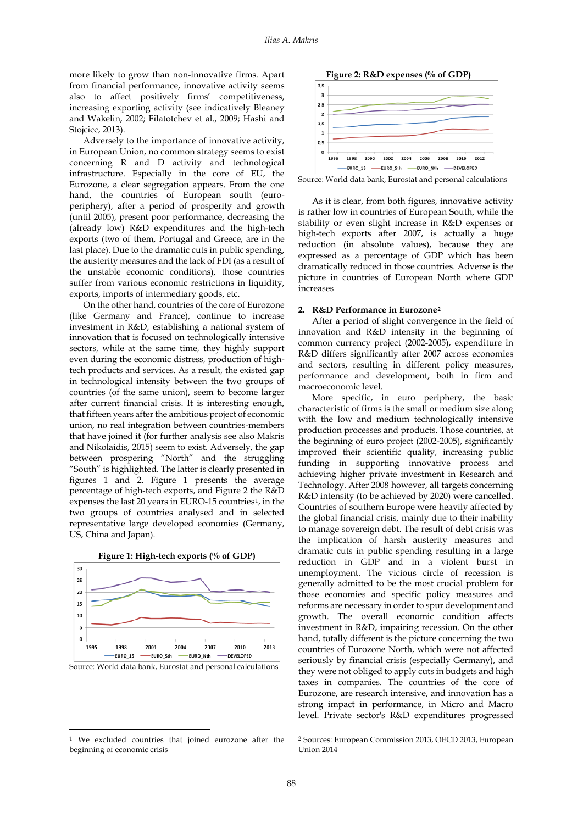more likely to grow than non-innovative firms. Apart from financial performance, innovative activity seems also to affect positively firms' competitiveness, increasing exporting activity (see indicatively Bleaney and Wakelin, 2002; Filatotchev et al., 2009; Hashi and Stojcicc, 2013).

Adversely to the importance of innovative activity, in European Union, no common strategy seems to exist concerning R and D activity and technological infrastructure. Especially in the core of EU, the Eurozone, a clear segregation appears. From the one hand, the countries of European south (europeriphery), after a period of prosperity and growth (until 2005), present poor performance, decreasing the (already low) R&D expenditures and the high-tech exports (two of them, Portugal and Greece, are in the last place). Due to the dramatic cuts in public spending, the austerity measures and the lack of FDI (as a result of the unstable economic conditions), those countries suffer from various economic restrictions in liquidity, exports, imports of intermediary goods, etc.

On the other hand, countries of the core of Eurozone (like Germany and France), continue to increase investment in R&D, establishing a national system of innovation that is focused on technologically intensive sectors, while at the same time, they highly support even during the economic distress, production of hightech products and services. As a result, the existed gap in technological intensity between the two groups of countries (of the same union), seem to become larger after current financial crisis. It is interesting enough, that fifteen years after the ambitious project of economic union, no real integration between countries-members that have joined it (for further analysis see also Makris and Nikolaidis, 2015) seem to exist. Adversely, the gap between prospering "North" and the struggling "South" is highlighted. The latter is clearly presented in figures 1 and 2. Figure 1 presents the average percentage of high-tech exports, and Figure 2 the R&D expenses the last 20 years in EURO-15 countries<sup>1</sup>, in the two groups of countries analysed and in selected representative large developed economies (Germany, US, China and Japan).



**Figure 1: High-tech exports (% of GDP)**

<u>.</u>



Source: World data bank, Eurostat and personal calculations

As it is clear, from both figures, innovative activity is rather low in countries of European South, while the stability or even slight increase in R&D expenses or high-tech exports after 2007, is actually a huge reduction (in absolute values), because they are expressed as a percentage of GDP which has been dramatically reduced in those countries. Adverse is the picture in countries of European North where GDP increases

# **2. R&D Performance in Eurozone[2](#page-1-0)**

After a period of slight convergence in the field of innovation and R&D intensity in the beginning of common currency project (2002-2005), expenditure in R&D differs significantly after 2007 across economies and sectors, resulting in different policy measures, performance and development, both in firm and macroeconomic level.

More specific, in euro periphery, the basic characteristic of firms is the small or medium size along with the low and medium technologically intensive production processes and products. Those countries, at the beginning of euro project (2002-2005), significantly improved their scientific quality, increasing public funding in supporting innovative process and achieving higher private investment in Research and Technology. After 2008 however, all targets concerning R&D intensity (to be achieved by 2020) were cancelled. Countries of southern Europe were heavily affected by the global financial crisis, mainly due to their inability to manage sovereign debt. The result of debt crisis was the implication of harsh austerity measures and dramatic cuts in public spending resulting in a large reduction in GDP and in a violent burst in unemployment. The vicious circle of recession is generally admitted to be the most crucial problem for those economies and specific policy measures and reforms are necessary in order to spur development and growth. The overall economic condition affects investment in R&D, impairing recession. On the other hand, totally different is the picture concerning the two countries of Eurozone North, which were not affected seriously by financial crisis (especially Germany), and they were not obliged to apply cuts in budgets and high taxes in companies. The countries of the core of Eurozone, are research intensive, and innovation has a strong impact in performance, in Micro and Macro level. Private sector's R&D expenditures progressed

Source: World data bank, Eurostat and personal calculations

<span id="page-1-0"></span><sup>1</sup> We excluded countries that joined eurozone after the beginning of economic crisis

<sup>2</sup> Sources: European Commission 2013, OECD 2013, European Union 2014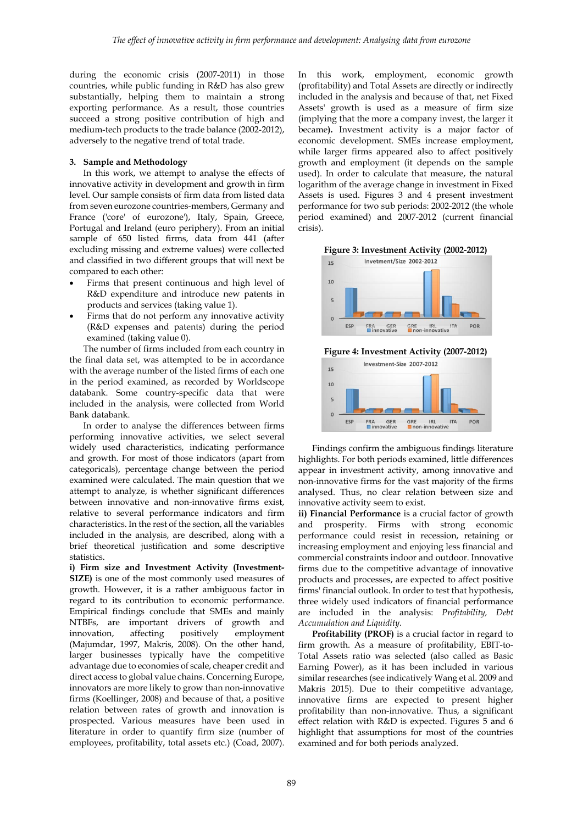during the economic crisis (2007-2011) in those countries, while public funding in R&D has also grew substantially, helping them to maintain a strong exporting performance. As a result, those countries succeed a strong positive contribution of high and medium-tech products to the trade balance (2002-2012), adversely to the negative trend of total trade.

### **3. Sample and Methodology**

In this work, we attempt to analyse the effects of innovative activity in development and growth in firm level. Our sample consists of firm data from listed data from seven eurozone countries-members, Germany and France ('core' of eurozone'), Italy, Spain, Greece, Portugal and Ireland (euro periphery). From an initial sample of 650 listed firms, data from 441 (after excluding missing and extreme values) were collected and classified in two different groups that will next be compared to each other:

- Firms that present continuous and high level of R&D expenditure and introduce new patents in products and services (taking value 1).
- Firms that do not perform any innovative activity (R&D expenses and patents) during the period examined (taking value 0).

The number of firms included from each country in the final data set, was attempted to be in accordance with the average number of the listed firms of each one in the period examined, as recorded by Worldscope databank. Some country-specific data that were included in the analysis, were collected from World Bank databank.

In order to analyse the differences between firms performing innovative activities, we select several widely used characteristics, indicating performance and growth. For most of those indicators (apart from categoricals), percentage change between the period examined were calculated. The main question that we attempt to analyze, is whether significant differences between innovative and non-innovative firms exist, relative to several performance indicators and firm characteristics. In the rest of the section, all the variables included in the analysis, are described, along with a brief theoretical justification and some descriptive statistics.

**i) Firm size and Investment Activity (Investment-SIZE)** is one of the most commonly used measures of growth. However, it is a rather ambiguous factor in regard to its contribution to economic performance. Empirical findings conclude that SMEs and mainly NTBFs, are important drivers of growth and innovation, affecting positively employment (Majumdar, 1997, Makris, 2008). On the other hand, larger businesses typically have the competitive advantage due to economies of scale, cheaper credit and direct access to global value chains. Concerning Europe, innovators are more likely to grow than non-innovative firms (Koellinger, 2008) and because of that, a positive relation between rates of growth and innovation is prospected. Various measures have been used in literature in order to quantify firm size (number of employees, profitability, total assets etc.) (Coad, 2007). In this work, employment, economic growth (profitability) and Total Assets are directly or indirectly included in the analysis and because of that, net Fixed Assets' growth is used as a measure of firm size (implying that the more a company invest, the larger it became**).** Investment activity is a major factor of economic development. SMEs increase employment, while larger firms appeared also to affect positively growth and employment (it depends on the sample used). In order to calculate that measure, the natural logarithm of the average change in investment in Fixed Assets is used. Figures 3 and 4 present investment performance for two sub periods: 2002-2012 (the whole period examined) and 2007-2012 (current financial crisis).





**Figure 4: Investment Activity (2007-2012)**



Findings confirm the ambiguous findings literature highlights. For both periods examined, little differences appear in investment activity, among innovative and non-innovative firms for the vast majority of the firms analysed. Thus, no clear relation between size and innovative activity seem to exist.

**ii) Financial Performance** is a crucial factor of growth and prosperity. Firms with strong economic performance could resist in recession, retaining or increasing employment and enjoying less financial and commercial constraints indoor and outdoor. Innovative firms due to the competitive advantage of innovative products and processes, are expected to affect positive firms' financial outlook. In order to test that hypothesis, three widely used indicators of financial performance are included in the analysis: *Profitability, Debt Accumulation and Liquidity.*

**Profitability (PROF)** is a crucial factor in regard to firm growth. As a measure of profitability, EBIT-to-Total Assets ratio was selected (also called as Basic Earning Power), as it has been included in various similar researches (see indicatively Wang et al. 2009 and Makris 2015). Due to their competitive advantage, innovative firms are expected to present higher profitability than non-innovative. Thus, a significant effect relation with R&D is expected. Figures 5 and 6 highlight that assumptions for most of the countries examined and for both periods analyzed.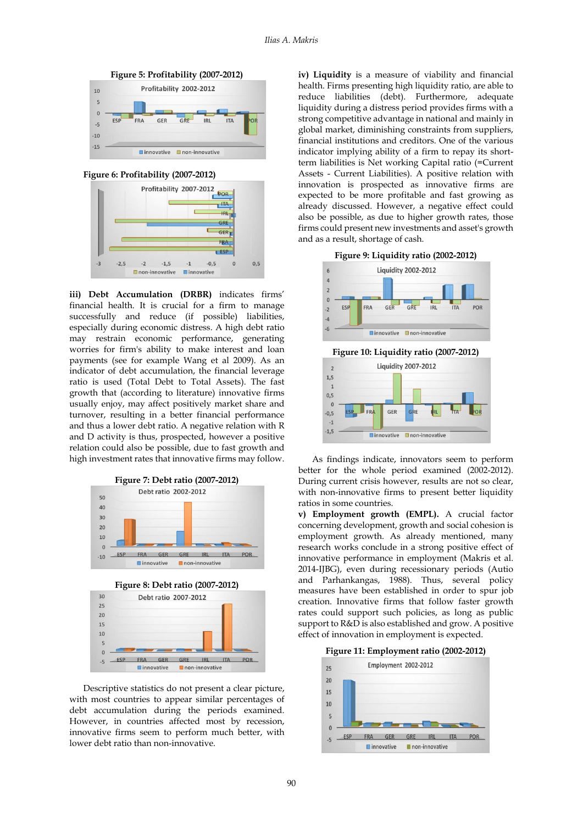



**Figure 6: Profitability (2007-2012)**



**iii) Debt Accumulation (DRBR)** indicates firms' financial health. It is crucial for a firm to manage successfully and reduce (if possible) liabilities, especially during economic distress. A high debt ratio may restrain economic performance, generating worries for firm's ability to make interest and loan payments (see for example Wang et al 2009). As an indicator of debt accumulation, the financial leverage ratio is used (Total Debt to Total Assets). The fast growth that (according to literature) innovative firms usually enjoy, may affect positively market share and turnover, resulting in a better financial performance and thus a lower debt ratio. A negative relation with R and D activity is thus, prospected, however a positive relation could also be possible, due to fast growth and high investment rates that innovative firms may follow.







Descriptive statistics do not present a clear picture, with most countries to appear similar percentages of debt accumulation during the periods examined. However, in countries affected most by recession, innovative firms seem to perform much better, with lower debt ratio than non-innovative.

**iv) Liquidity** is a measure of viability and financial health. Firms presenting high liquidity ratio, are able to reduce liabilities (debt). Furthermore, adequate liquidity during a distress period provides firms with a strong competitive advantage in national and mainly in global market, diminishing constraints from suppliers, financial institutions and creditors. One of the various indicator implying ability of a firm to repay its shortterm liabilities is Net working Capital ratio (=Current Assets - Current Liabilities). A positive relation with innovation is prospected as innovative firms are expected to be more profitable and fast growing as already discussed. However, a negative effect could also be possible, as due to higher growth rates, those firms could present new investments and asset's growth and as a result, shortage of cash.



As findings indicate, innovators seem to perform better for the whole period examined (2002-2012). During current crisis however, results are not so clear, with non-innovative firms to present better liquidity ratios in some countries.

**■innovative ■non-innovative** 

 $-1,5$ 

**v) Employment growth (EMPL).** A crucial factor concerning development, growth and social cohesion is employment growth. As already mentioned, many research works conclude in a strong positive effect of innovative performance in employment (Makris et al. 2014-IJBG), even during recessionary periods (Autio and Parhankangas, 1988). Thus, several policy measures have been established in order to spur job creation. Innovative firms that follow faster growth rates could support such policies, as long as public support to R&D is also established and grow. A positive effect of innovation in employment is expected.



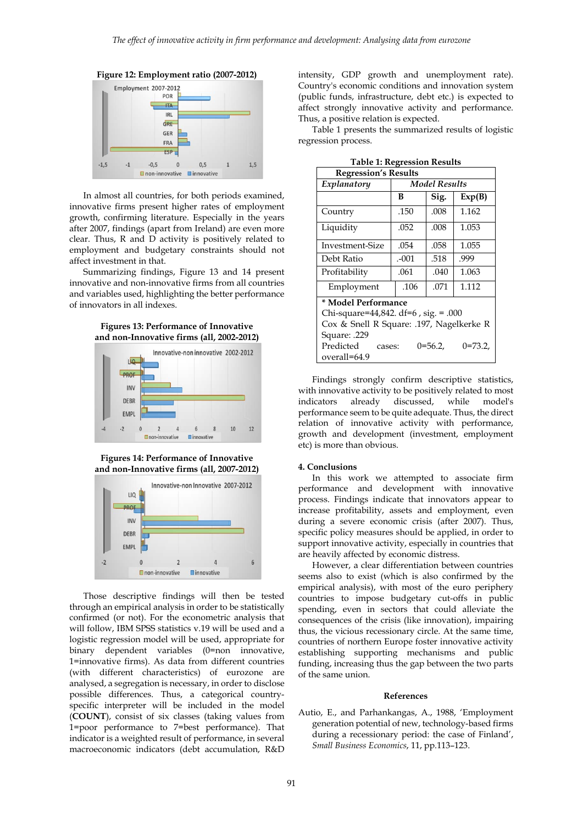



In almost all countries, for both periods examined, innovative firms present higher rates of employment growth, confirming literature. Especially in the years after 2007, findings (apart from Ireland) are even more clear. Thus, R and D activity is positively related to employment and budgetary constraints should not affect investment in that.

Summarizing findings, Figure 13 and 14 present innovative and non-innovative firms from all countries and variables used, highlighting the better performance of innovators in all indexes.





**Figures 14: Performance of Innovative and non-Innovative firms (all, 2007-2012)**



Those descriptive findings will then be tested through an empirical analysis in order to be statistically confirmed (or not). For the econometric analysis that will follow, IBM SPSS statistics v.19 will be used and a logistic regression model will be used, appropriate for binary dependent variables (0=non innovative, 1=innovative firms). As data from different countries (with different characteristics) of eurozone are analysed, a segregation is necessary, in order to disclose possible differences. Thus, a categorical countryspecific interpreter will be included in the model (**COUNT**), consist of six classes (taking values from 1=poor performance to 7=best performance). That indicator is a weighted result of performance, in several macroeconomic indicators (debt accumulation, R&D intensity, GDP growth and unemployment rate). Country's economic conditions and innovation system (public funds, infrastructure, debt etc.) is expected to affect strongly innovative activity and performance. Thus, a positive relation is expected.

Table 1 presents the summarized results of logistic regression process.

| таріс 1. кедісээнні кезинэ               |                      |         |          |
|------------------------------------------|----------------------|---------|----------|
| <b>Regression's Results</b>              |                      |         |          |
| Explanatory                              | <b>Model Results</b> |         |          |
|                                          | в                    | Sig.    | Exp(B)   |
| Country                                  | .150                 | .008    | 1.162    |
| Liquidity                                | .052                 | .008    | 1.053    |
| Investment-Size                          | .054                 | .058    | 1.055    |
| Debt Ratio                               | $-001$               | .518    | .999     |
| Profitability                            | .061                 | .040    | 1.063    |
| Employment                               | .106                 | .071    | 1.112    |
| * Model Performance                      |                      |         |          |
| Chi-square=44,842. df=6, sig. = .000     |                      |         |          |
| Cox & Snell R Square: .197, Nagelkerke R |                      |         |          |
| Square: .229                             |                      |         |          |
| Predicted<br>cases:<br>overall=64.9      |                      | 0=56.2. | $0=73.2$ |

**Table 1: Regression Results**

Findings strongly confirm descriptive statistics, with innovative activity to be positively related to most indicators already discussed, while model's performance seem to be quite adequate. Thus, the direct relation of innovative activity with performance, growth and development (investment, employment etc) is more than obvious.

### **4. Conclusions**

In this work we attempted to associate firm performance and development with innovative process. Findings indicate that innovators appear to increase profitability, assets and employment, even during a severe economic crisis (after 2007). Thus, specific policy measures should be applied, in order to support innovative activity, especially in countries that are heavily affected by economic distress.

However, a clear differentiation between countries seems also to exist (which is also confirmed by the empirical analysis), with most of the euro periphery countries to impose budgetary cut-offs in public spending, even in sectors that could alleviate the consequences of the crisis (like innovation), impairing thus, the vicious recessionary circle. At the same time, countries of northern Europe foster innovative activity establishing supporting mechanisms and public funding, increasing thus the gap between the two parts of the same union.

#### **References**

Autio, E., and Parhankangas, A., 1988, 'Employment generation potential of new, technology-based firms during a recessionary period: the case of Finland', *Small Business Economics*, 11, pp.113–123.